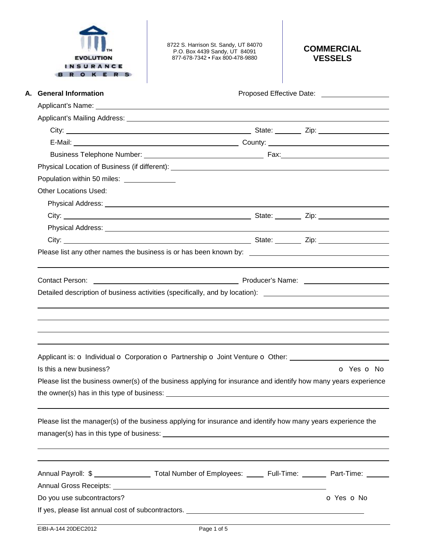|  | <b>EVOLUTION</b> |  |  |
|--|------------------|--|--|
|  | <b>INSURANCE</b> |  |  |
|  |                  |  |  |

8722 S. Harrison St. Sandy, UT 84070 P.O. Box 4439 Sandy, UT 84091 877-678-7342 • Fax 800-478-9880

# **COMMERCIAL VESSELS**

| A. General Information                                                                                                                                        |                                                                                                                                                                                                                                | Proposed Effective Date: North States |  |            |  |
|---------------------------------------------------------------------------------------------------------------------------------------------------------------|--------------------------------------------------------------------------------------------------------------------------------------------------------------------------------------------------------------------------------|---------------------------------------|--|------------|--|
|                                                                                                                                                               |                                                                                                                                                                                                                                |                                       |  |            |  |
|                                                                                                                                                               |                                                                                                                                                                                                                                |                                       |  |            |  |
|                                                                                                                                                               |                                                                                                                                                                                                                                |                                       |  |            |  |
|                                                                                                                                                               |                                                                                                                                                                                                                                |                                       |  |            |  |
|                                                                                                                                                               |                                                                                                                                                                                                                                |                                       |  |            |  |
|                                                                                                                                                               |                                                                                                                                                                                                                                |                                       |  |            |  |
| Population within 50 miles:                                                                                                                                   |                                                                                                                                                                                                                                |                                       |  |            |  |
| <b>Other Locations Used:</b>                                                                                                                                  |                                                                                                                                                                                                                                |                                       |  |            |  |
|                                                                                                                                                               |                                                                                                                                                                                                                                |                                       |  |            |  |
|                                                                                                                                                               |                                                                                                                                                                                                                                |                                       |  |            |  |
|                                                                                                                                                               |                                                                                                                                                                                                                                |                                       |  |            |  |
|                                                                                                                                                               |                                                                                                                                                                                                                                |                                       |  |            |  |
|                                                                                                                                                               |                                                                                                                                                                                                                                |                                       |  |            |  |
|                                                                                                                                                               |                                                                                                                                                                                                                                |                                       |  |            |  |
|                                                                                                                                                               |                                                                                                                                                                                                                                |                                       |  |            |  |
| <b>Contact Person:</b>                                                                                                                                        | Producer's Name: The Communication of the Producer's Name: The Communication of the Communication of the Communication of the Communication of the Communication of the Communication of the Communication of the Communicatio |                                       |  |            |  |
| Detailed description of business activities (specifically, and by location): ________________________________                                                 |                                                                                                                                                                                                                                |                                       |  |            |  |
| Applicant is: o Individual o Corporation o Partnership o Joint Venture o Other: ____________________<br>Is this a new business?                               |                                                                                                                                                                                                                                |                                       |  | O Yes O No |  |
|                                                                                                                                                               |                                                                                                                                                                                                                                |                                       |  |            |  |
|                                                                                                                                                               |                                                                                                                                                                                                                                |                                       |  |            |  |
| Please list the business owner(s) of the business applying for insurance and identify how many years experience<br>the owner(s) has in this type of business: |                                                                                                                                                                                                                                |                                       |  |            |  |
| Please list the manager(s) of the business applying for insurance and identify how many years experience the                                                  |                                                                                                                                                                                                                                |                                       |  |            |  |
|                                                                                                                                                               |                                                                                                                                                                                                                                |                                       |  |            |  |
|                                                                                                                                                               |                                                                                                                                                                                                                                |                                       |  |            |  |
|                                                                                                                                                               |                                                                                                                                                                                                                                |                                       |  |            |  |
| Annual Payroll: \$ _____________________ Total Number of Employees: ______ Full-Time: _______ Part-Time: ______<br>Do you use subcontractors?                 |                                                                                                                                                                                                                                |                                       |  | O Yes O No |  |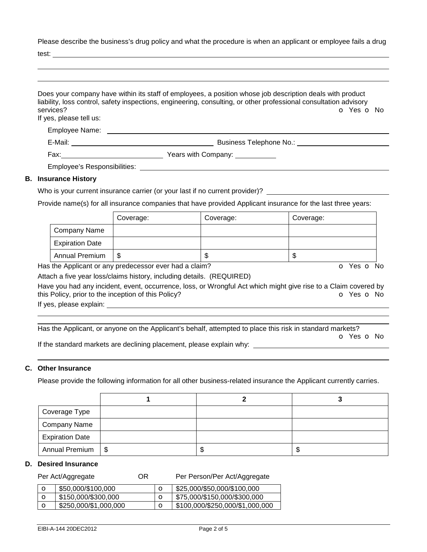Please describe the business's drug policy and what the procedure is when an applicant or employee fails a drug

test:

| services?<br>If yes, please tell us: | Does your company have within its staff of employees, a position whose job description deals with product<br>liability, loss control, safety inspections, engineering, consulting, or other professional consultation advisory<br>O Yes O No |
|--------------------------------------|----------------------------------------------------------------------------------------------------------------------------------------------------------------------------------------------------------------------------------------------|
|                                      |                                                                                                                                                                                                                                              |
|                                      | Business Telephone No.: Business Telephone No.:                                                                                                                                                                                              |
|                                      | Fax: <u>_________________________________</u> Years with Company: ______________                                                                                                                                                             |
|                                      | Employee's Responsibilities: Network and the control of the control of the control of the control of the control of the control of the control of the control of the control of the control of the control of the control of t               |
| <b>B.</b> Insurance History          |                                                                                                                                                                                                                                              |

## Who is your current insurance carrier (or your last if no current provider)?

Provide name(s) for all insurance companies that have provided Applicant insurance for the last three years:

|                        | Coverage: | Coverage: | Coverage: |
|------------------------|-----------|-----------|-----------|
| Company Name           |           |           |           |
| <b>Expiration Date</b> |           |           |           |
| <b>Annual Premium</b>  | \$        | J         | ъD        |

Has the Applicant or any predecessor ever had a claim? The Contract of Monocomusic Contract of No. The Contract O

Attach a five year loss/claims history, including details. (REQUIRED)

Have you had any incident, event, occurrence, loss, or Wrongful Act which might give rise to a Claim covered by this Policy, prior to the inception of this Policy? **o Yes o No** Yes **o** No

If yes, please explain:

 Has the Applicant, or anyone on the Applicant's behalf, attempted to place this risk in standard markets?

o Yes o No

If the standard markets are declining placement, please explain why:

## **C. Other Insurance**

Please provide the following information for all other business-related insurance the Applicant currently carries.

| Coverage Type          |      |   |        |
|------------------------|------|---|--------|
| <b>Company Name</b>    |      |   |        |
| <b>Expiration Date</b> |      |   |        |
| Annual Premium         | - \$ | D | ጥ<br>Ф |

### **D. Desired Insurance**

| Per Act/Aggregate |                       | OR. |             | Per Person/Per Act/Aggregate    |
|-------------------|-----------------------|-----|-------------|---------------------------------|
| $\circ$           | \$50,000/\$100,000    |     |             | \$25,000/\$50,000/\$100,000     |
| $\circ$           | \$150,000/\$300,000   |     | $\mathbf C$ | \$75,000/\$150,000/\$300,000    |
| $\circ$           | \$250,000/\$1,000,000 |     |             | \$100,000/\$250,000/\$1,000,000 |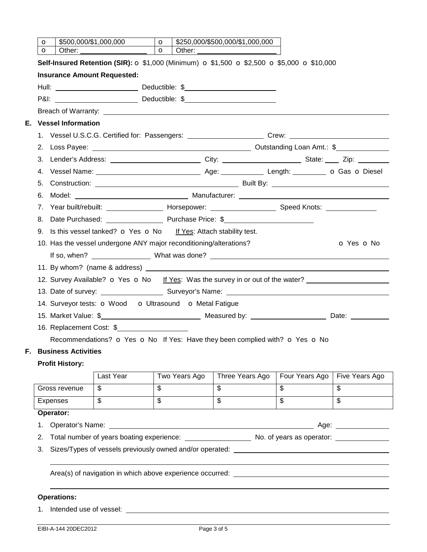|    | $\circ$                                                                                                                                                                                     | \$500,000/\$1,000,000      |                                                                                   | $\circ$                 |               | \$250,000/\$500,000/\$1,000,000                                                                               |                          |                         |
|----|---------------------------------------------------------------------------------------------------------------------------------------------------------------------------------------------|----------------------------|-----------------------------------------------------------------------------------|-------------------------|---------------|---------------------------------------------------------------------------------------------------------------|--------------------------|-------------------------|
|    | $\circ$                                                                                                                                                                                     | Other:                     |                                                                                   | $\circ$                 | Other:        |                                                                                                               |                          |                         |
|    | <b>Self-Insured Retention (SIR): <math>\sigma</math> \$1,000 (Minimum) <math>\sigma</math> \$1,500 <math>\sigma</math> \$2,500 <math>\sigma</math> \$5,000 <math>\sigma</math> \$10,000</b> |                            |                                                                                   |                         |               |                                                                                                               |                          |                         |
|    |                                                                                                                                                                                             |                            | <b>Insurance Amount Requested:</b>                                                |                         |               |                                                                                                               |                          |                         |
|    |                                                                                                                                                                                             |                            |                                                                                   |                         |               |                                                                                                               |                          |                         |
|    |                                                                                                                                                                                             |                            |                                                                                   |                         |               |                                                                                                               |                          |                         |
|    |                                                                                                                                                                                             |                            |                                                                                   |                         |               |                                                                                                               |                          |                         |
| Е. | <b>Vessel Information</b>                                                                                                                                                                   |                            |                                                                                   |                         |               |                                                                                                               |                          |                         |
|    |                                                                                                                                                                                             |                            |                                                                                   |                         |               | 1. Vessel U.S.C.G. Certified for: Passengers: ________________________Crew: _______________________           |                          |                         |
|    |                                                                                                                                                                                             |                            |                                                                                   |                         |               |                                                                                                               |                          |                         |
|    |                                                                                                                                                                                             |                            |                                                                                   |                         |               | 3. Lender's Address: _____________________________City: ________________________State: _____ Zip: ___________ |                          |                         |
|    |                                                                                                                                                                                             |                            |                                                                                   |                         |               |                                                                                                               |                          |                         |
|    | 5.                                                                                                                                                                                          |                            |                                                                                   |                         |               |                                                                                                               |                          |                         |
|    | 6.                                                                                                                                                                                          |                            |                                                                                   |                         |               |                                                                                                               |                          |                         |
|    |                                                                                                                                                                                             |                            |                                                                                   |                         |               | 7. Year built/rebuilt: _______________________ Horsepower: _____________________ Speed Knots: _______________ |                          |                         |
|    | 8.                                                                                                                                                                                          |                            |                                                                                   |                         |               | Date Purchased: Purchase Price: \$                                                                            |                          |                         |
|    |                                                                                                                                                                                             |                            | 9. Is this vessel tanked? $\sigma$ Yes $\sigma$ No If Yes: Attach stability test. |                         |               |                                                                                                               |                          |                         |
|    |                                                                                                                                                                                             |                            | 10. Has the vessel undergone ANY major reconditioning/alterations?                |                         |               |                                                                                                               |                          | O Yes O No              |
|    |                                                                                                                                                                                             |                            |                                                                                   |                         |               |                                                                                                               |                          |                         |
|    |                                                                                                                                                                                             |                            |                                                                                   |                         |               |                                                                                                               |                          |                         |
|    |                                                                                                                                                                                             |                            |                                                                                   |                         |               | 12. Survey Available? o Yes o No If Yes: Was the survey in or out of the water?                               |                          |                         |
|    |                                                                                                                                                                                             |                            |                                                                                   |                         |               |                                                                                                               |                          |                         |
|    |                                                                                                                                                                                             |                            | 14. Surveyor tests: O Wood O Ultrasound O Metal Fatigue                           |                         |               |                                                                                                               |                          |                         |
|    |                                                                                                                                                                                             |                            |                                                                                   |                         |               | 15. Market Value: \$                                                                                          |                          |                         |
|    |                                                                                                                                                                                             |                            | 16. Replacement Cost: \$                                                          |                         |               |                                                                                                               |                          |                         |
|    |                                                                                                                                                                                             |                            |                                                                                   |                         |               | Recommendations? o Yes o No If Yes: Have they been complied with? o Yes o No                                  |                          |                         |
| F. |                                                                                                                                                                                             | <b>Business Activities</b> |                                                                                   |                         |               |                                                                                                               |                          |                         |
|    |                                                                                                                                                                                             | <b>Profit History:</b>     |                                                                                   |                         |               |                                                                                                               |                          |                         |
|    |                                                                                                                                                                                             |                            | Last Year                                                                         |                         | Two Years Ago | Three Years Ago                                                                                               | Four Years Ago           | Five Years Ago          |
|    |                                                                                                                                                                                             | Gross revenue              | $\overline{\mathbb{S}}$                                                           | $\overline{\mathbb{S}}$ |               | $\overline{\mathbb{S}}$                                                                                       | $\overline{\mathcal{E}}$ | $\overline{\mathbb{S}}$ |
|    |                                                                                                                                                                                             | Expenses                   | $\overline{\mathcal{S}}$                                                          | $\overline{\mathbb{S}}$ |               | $\overline{\mathbb{S}}$                                                                                       | $\overline{\mathbb{S}}$  | $\overline{\mathbb{S}}$ |
|    |                                                                                                                                                                                             | Operator:                  |                                                                                   |                         |               |                                                                                                               |                          |                         |
|    | 1.                                                                                                                                                                                          |                            |                                                                                   |                         |               |                                                                                                               |                          |                         |
|    | 2.                                                                                                                                                                                          |                            |                                                                                   |                         |               |                                                                                                               |                          |                         |
|    | 3.                                                                                                                                                                                          |                            |                                                                                   |                         |               | Sizes/Types of vessels previously owned and/or operated: _______________________                              |                          |                         |
|    |                                                                                                                                                                                             |                            |                                                                                   |                         |               |                                                                                                               |                          |                         |
|    |                                                                                                                                                                                             |                            |                                                                                   |                         |               |                                                                                                               |                          |                         |
|    |                                                                                                                                                                                             |                            |                                                                                   |                         |               |                                                                                                               |                          |                         |
|    |                                                                                                                                                                                             | <b>Operations:</b>         |                                                                                   |                         |               |                                                                                                               |                          |                         |
|    |                                                                                                                                                                                             | 1. Intended use of vessel: |                                                                                   |                         |               |                                                                                                               |                          |                         |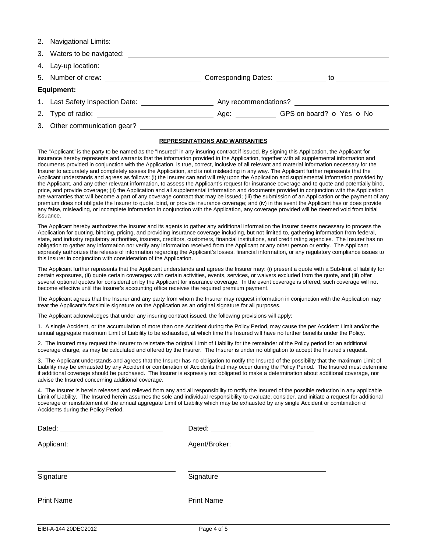| Equipment:                   |  |  |  |  |  |
|------------------------------|--|--|--|--|--|
|                              |  |  |  |  |  |
|                              |  |  |  |  |  |
| 3. Other communication gear? |  |  |  |  |  |

#### **REPRESENTATIONS AND WARRANTIES**

The "Applicant" is the party to be named as the "Insured" in any insuring contract if issued. By signing this Application, the Applicant for insurance hereby represents and warrants that the information provided in the Application, together with all supplemental information and documents provided in conjunction with the Application, is true, correct, inclusive of all relevant and material information necessary for the Insurer to accurately and completely assess the Application, and is not misleading in any way. The Applicant further represents that the Applicant understands and agrees as follows: (i) the Insurer can and will rely upon the Application and supplemental information provided by the Applicant, and any other relevant information, to assess the Applicant's request for insurance coverage and to quote and potentially bind, price, and provide coverage; (ii) the Application and all supplemental information and documents provided in conjunction with the Application are warranties that will become a part of any coverage contract that may be issued; (iii) the submission of an Application or the payment of any premium does not obligate the Insurer to quote, bind, or provide insurance coverage; and (iv) in the event the Applicant has or does provide any false, misleading, or incomplete information in conjunction with the Application, any coverage provided will be deemed void from initial issuance.

The Applicant hereby authorizes the Insurer and its agents to gather any additional information the Insurer deems necessary to process the Application for quoting, binding, pricing, and providing insurance coverage including, but not limited to, gathering information from federal, state, and industry regulatory authorities, insurers, creditors, customers, financial institutions, and credit rating agencies. The Insurer has no obligation to gather any information nor verify any information received from the Applicant or any other person or entity. The Applicant expressly authorizes the release of information regarding the Applicant's losses, financial information, or any regulatory compliance issues to this Insurer in conjunction with consideration of the Application.

The Applicant further represents that the Applicant understands and agrees the Insurer may: (i) present a quote with a Sub-limit of liability for certain exposures, (ii) quote certain coverages with certain activities, events, services, or waivers excluded from the quote, and (iii) offer several optional quotes for consideration by the Applicant for insurance coverage. In the event coverage is offered, such coverage will not become effective until the Insurer's accounting office receives the required premium payment.

The Applicant agrees that the Insurer and any party from whom the Insurer may request information in conjunction with the Application may treat the Applicant's facsimile signature on the Application as an original signature for all purposes.

The Applicant acknowledges that under any insuring contract issued, the following provisions will apply:

1. A single Accident, or the accumulation of more than one Accident during the Policy Period, may cause the per Accident Limit and/or the annual aggregate maximum Limit of Liability to be exhausted, at which time the Insured will have no further benefits under the Policy.

2. The Insured may request the Insurer to reinstate the original Limit of Liability for the remainder of the Policy period for an additional coverage charge, as may be calculated and offered by the Insurer. The Insurer is under no obligation to accept the Insured's request.

3. The Applicant understands and agrees that the Insurer has no obligation to notify the Insured of the possibility that the maximum Limit of Liability may be exhausted by any Accident or combination of Accidents that may occur during the Policy Period. The Insured must determine if additional coverage should be purchased. The Insurer is expressly not obligated to make a determination about additional coverage, nor advise the Insured concerning additional coverage.

4. The Insurer is herein released and relieved from any and all responsibility to notify the Insured of the possible reduction in any applicable Limit of Liability. The Insured herein assumes the sole and individual responsibility to evaluate, consider, and initiate a request for additional coverage or reinstatement of the annual aggregate Limit of Liability which may be exhausted by any single Accident or combination of Accidents during the Policy Period.

| Dated:            | Dated:            |
|-------------------|-------------------|
| Applicant:        | Agent/Broker:     |
| Signature         | Signature         |
| <b>Print Name</b> | <b>Print Name</b> |